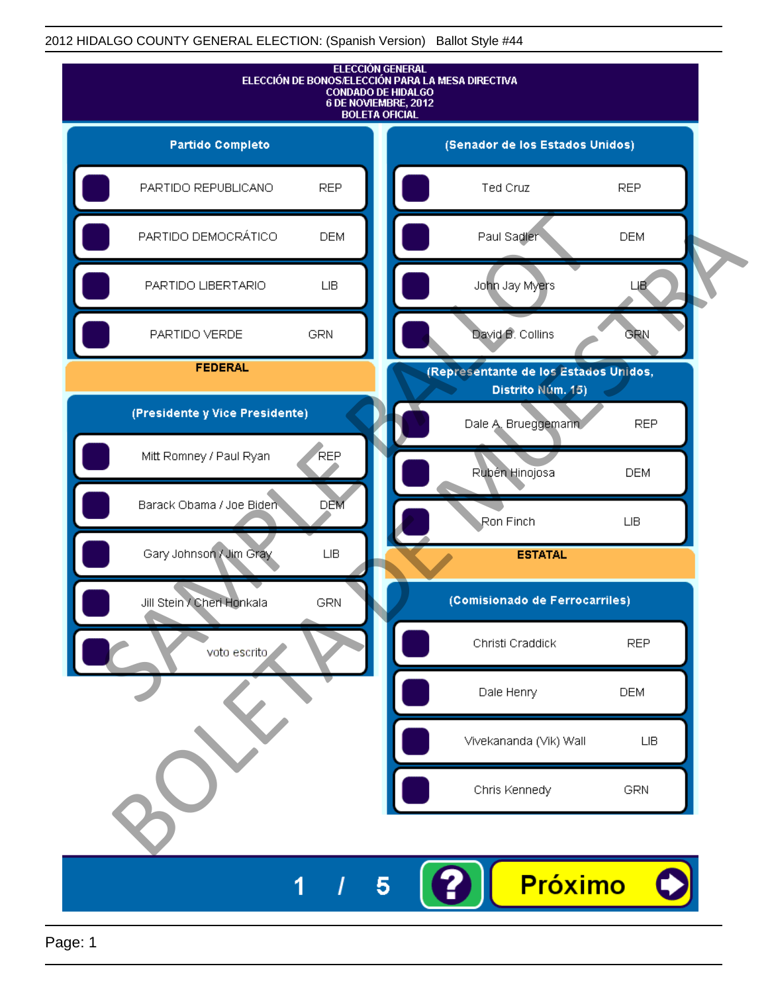

Page: 1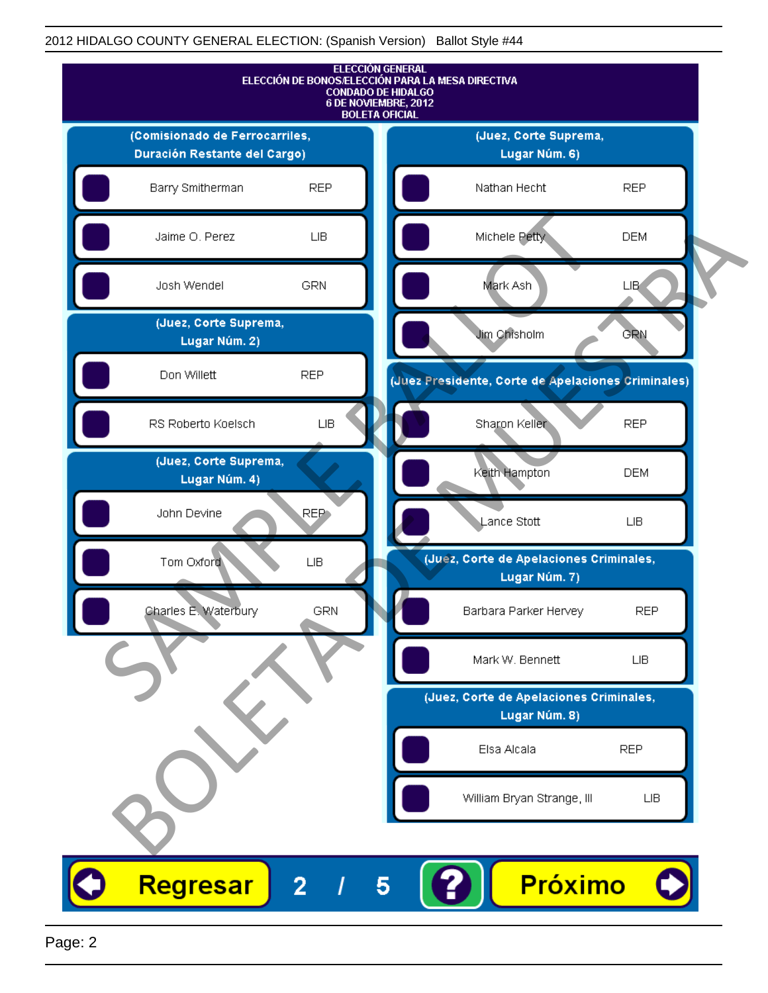

Page: 2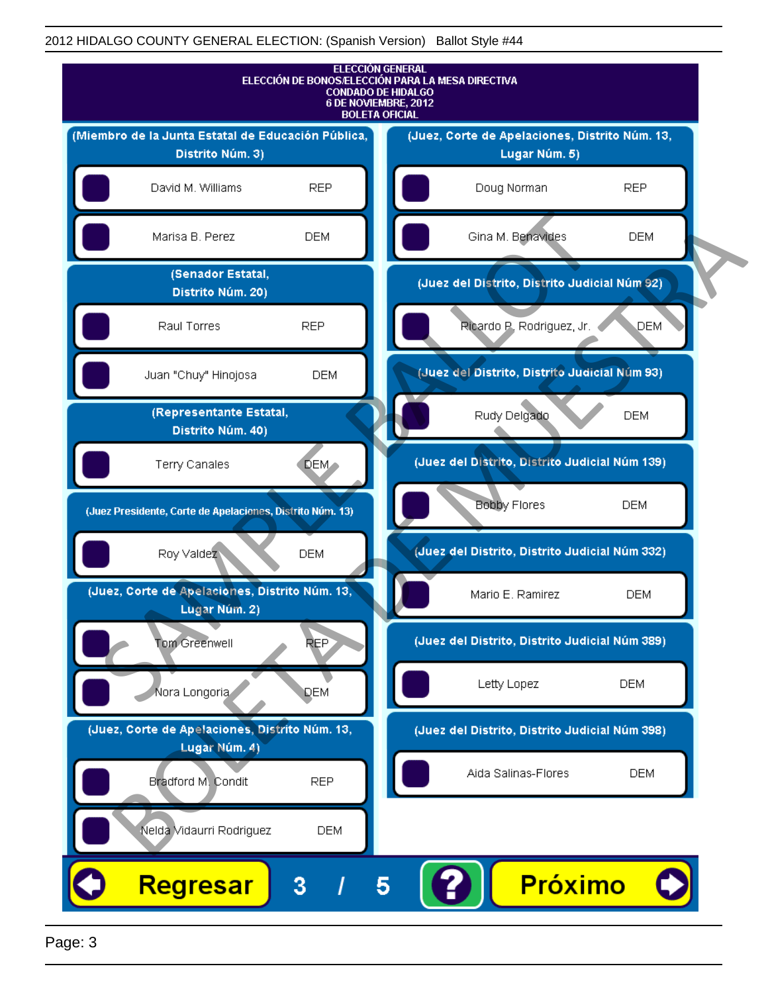

Page: 3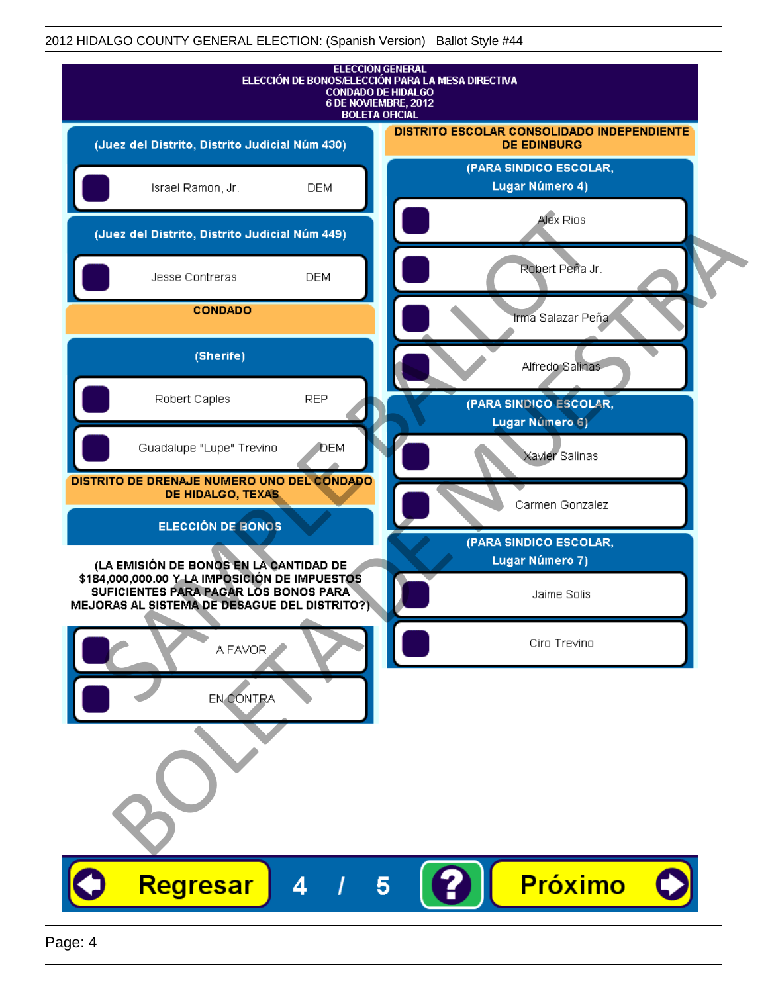| <b>ELECCIÓN GENERAL</b><br>ELECCIÓN DE BONOS/ELECCIÓN PARA LA MESA DIRECTIVA<br><b>CONDADO DE HIDALGO</b><br>6 DE NOVIEMBRE, 2012<br><b>BOLETA OFICIAL</b> |                                                                         |
|------------------------------------------------------------------------------------------------------------------------------------------------------------|-------------------------------------------------------------------------|
| (Juez del Distrito, Distrito Judicial Núm 430)                                                                                                             | <b>DISTRITO ESCOLAR CONSOLIDADO INDEPENDIENTE</b><br><b>DE EDINBURG</b> |
| Israel Ramon, Jr.<br><b>DEM</b>                                                                                                                            | (PARA SINDICO ESCOLAR,<br>Lugar Número 4)                               |
| (Juez del Distrito, Distrito Judicial Núm 449)                                                                                                             | Alex Rios                                                               |
| Jesse Contreras<br><b>DEM</b>                                                                                                                              | Robert Peña Jr.                                                         |
| <b>CONDADO</b>                                                                                                                                             | lrma Salazar Peña                                                       |
| (Sherife)                                                                                                                                                  | Alfredo Salinas                                                         |
| Robert Caples<br><b>REP</b>                                                                                                                                | (PARA SINDICO ESCOLAR,<br>Lugar Número 6)                               |
| Guadalupe "Lupe" Trevino<br>DEM                                                                                                                            | Xavier Salinas                                                          |
| DISTRITO DE DRENAJE NUMERO UNO DEL CONDADO<br>DE HIDALGO, TEXAS                                                                                            | Carmen Gonzalez                                                         |
| <b>ELECCIÓN DE BONOS</b>                                                                                                                                   | (PARA SINDICO ESCOLAR,                                                  |
| (LA EMISIÓN DE BONOS EN LA CANTIDAD DE<br>\$184,000,000.00 Y LA IMPOSICIÓN DE IMPUESTOS                                                                    | Lugar Número 7)                                                         |
| SUFICIENTES PARA PAGAR LOS BONOS PARA<br>MEJORAS AL SISTEMA DE DESAGUE DEL DISTRITO?)                                                                      | Jaime Solis                                                             |
| A FAVOR                                                                                                                                                    | Ciro Trevino                                                            |
| EN CONTRA                                                                                                                                                  |                                                                         |
|                                                                                                                                                            |                                                                         |
|                                                                                                                                                            |                                                                         |
| Regresar<br>5<br>4                                                                                                                                         | <b>Próximo</b>                                                          |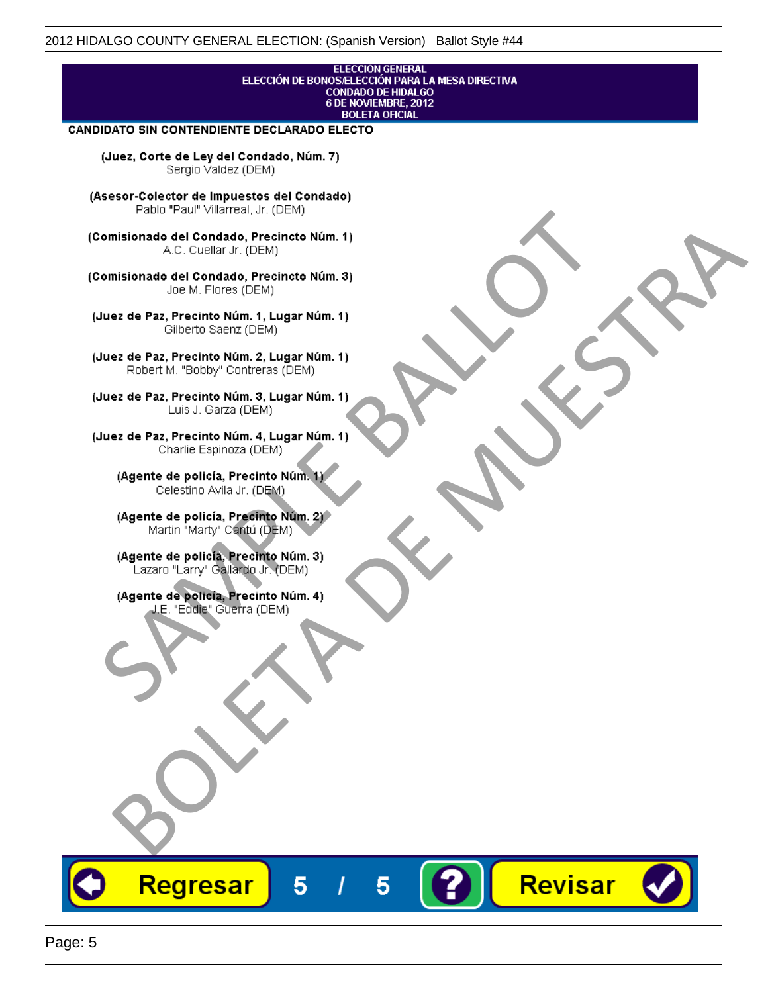#### **ELECCIÓN GENERAL** ELECCIÓN DE BONOS/ELECCIÓN PARA LA MESA DIRECTIVA CONDADO DE HIDALGO<br>6 DE NOVIEMBRE, 2012 **BOLETA OFICIAL**

Revisar

#### CANDIDATO SIN CONTENDIENTE DECLARADO ELECTO

(Juez, Corte de Ley del Condado, Núm. 7) Sergio Valdez (DEM)

(Asesor-Colector de Impuestos del Condado)

Fallo Fall Willdrea, J.I. (DEM)<br>
Consistionado el Condado, Precincto Núm. 1)<br>
A.C. Cuellar Jr. (DEM)<br>
Ullez de Paz, Precinto Núm. 1)<br>
Juez de Paz, Precinto Núm. 1, Lugar Núm. 1)<br>
Gilberto Sentr (DEM)<br>
Robert M. "Bobby" Con misionado del Condiado, Precincto Núm. 1)<br>
Andro del Condiado, Precincto Núm. 3)<br>
ez de Paz, Precinto Núm. 21<br>
algo M. Picer Lo Saerz, (CIEM)<br>
algo M. Picer Lo Saerz, (CIEM)<br>
algo M. Picer Lo Saerz, (CIEM)<br>
ez de Paz, Prec

Regresar

5

5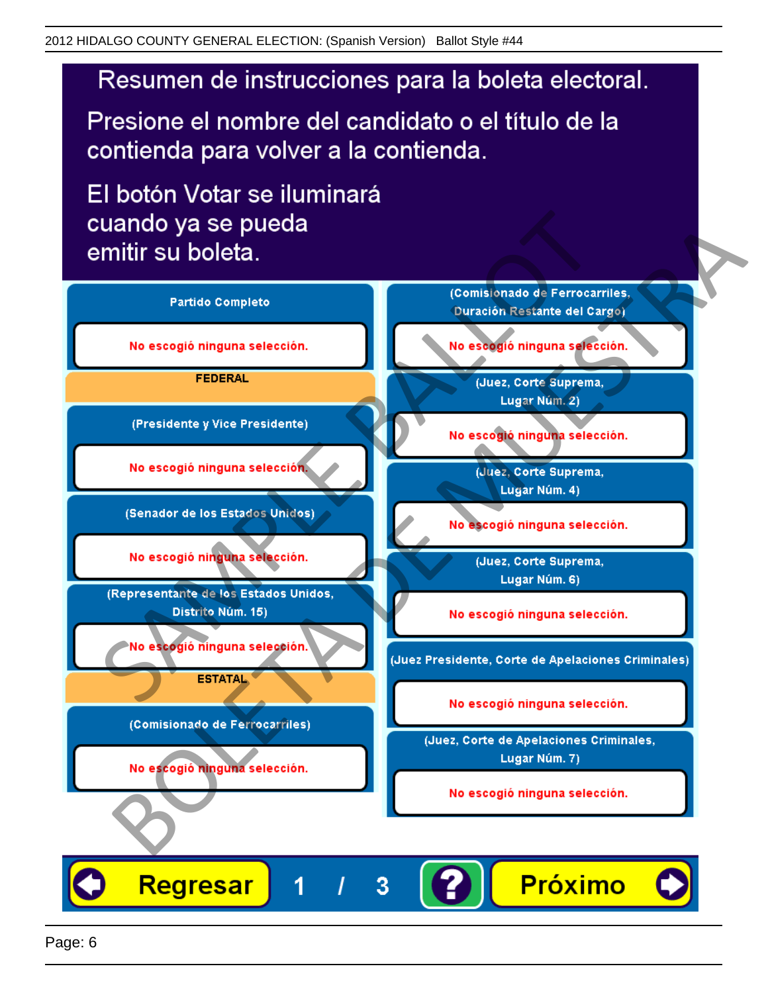# Resumen de instrucciones para la boleta electoral.

Presione el nombre del candidato o el título de la contienda para volver a la contienda.

El botón Votar se iluminará

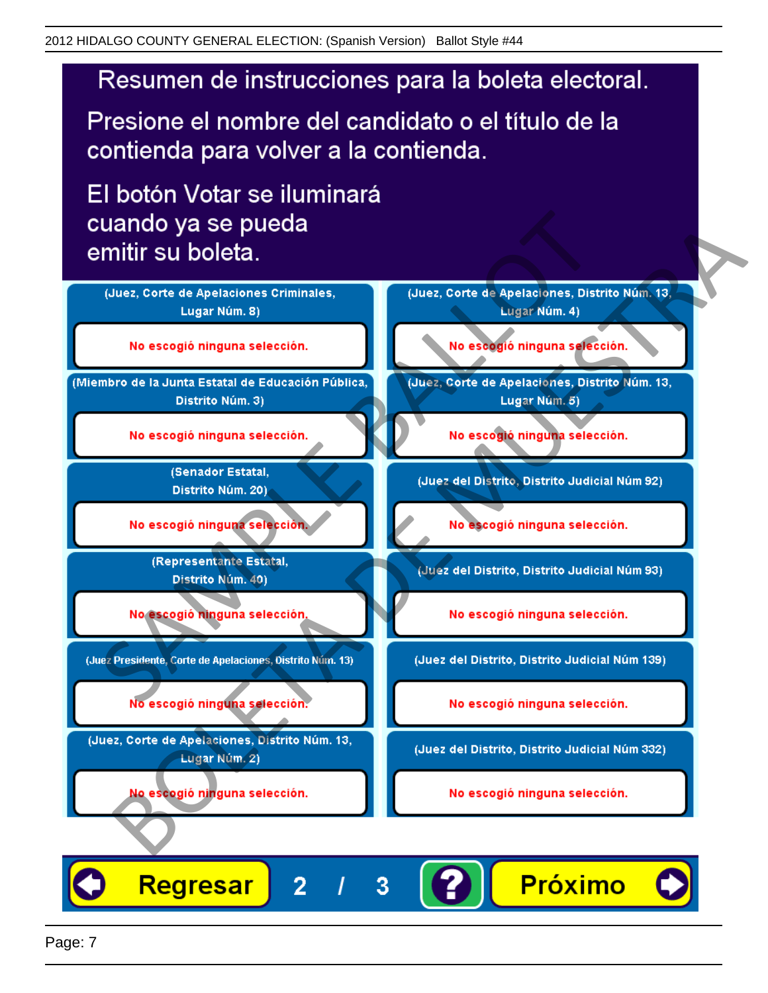# Resumen de instrucciones para la boleta electoral.

Presione el nombre del candidato o el título de la contienda para volver a la contienda.

El botón Votar se iluminará